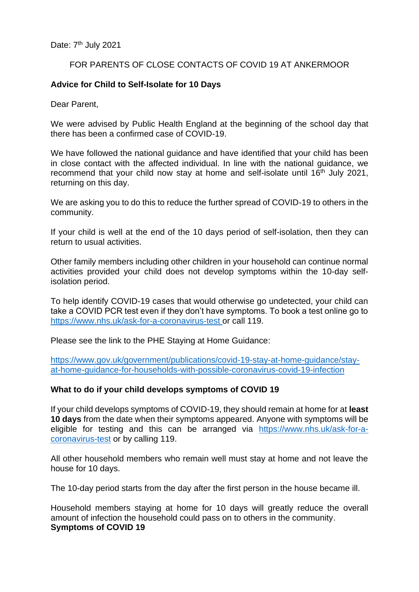# FOR PARENTS OF CLOSE CONTACTS OF COVID 19 AT ANKERMOOR

# **Advice for Child to Self-Isolate for 10 Days**

Dear Parent,

We were advised by Public Health England at the beginning of the school day that there has been a confirmed case of COVID-19.

We have followed the national guidance and have identified that your child has been in close contact with the affected individual. In line with the national guidance, we recommend that your child now stay at home and self-isolate until 16<sup>th</sup> July 2021, returning on this day.

We are asking you to do this to reduce the further spread of COVID-19 to others in the community.

If your child is well at the end of the 10 days period of self-isolation, then they can return to usual activities.

Other family members including other children in your household can continue normal activities provided your child does not develop symptoms within the 10-day selfisolation period.

To help identify COVID-19 cases that would otherwise go undetected, your child can take a COVID PCR test even if they don't have symptoms. To book a test online go to <https://www.nhs.uk/ask-for-a-coronavirus-test> or call 119.

Please see the link to the PHE Staying at Home Guidance:

[https://www.gov.uk/government/publications/covid-19-stay-at-home-guidance/stay](https://www.gov.uk/government/publications/covid-19-stay-at-home-guidance/stay-at-home-guidance-for-households-with-possible-coronavirus-covid-19-infection)[at-home-guidance-for-households-with-possible-coronavirus-covid-19-infection](https://www.gov.uk/government/publications/covid-19-stay-at-home-guidance/stay-at-home-guidance-for-households-with-possible-coronavirus-covid-19-infection)

### **What to do if your child develops symptoms of COVID 19**

If your child develops symptoms of COVID-19, they should remain at home for at **least 10 days** from the date when their symptoms appeared. Anyone with symptoms will be eligible for testing and this can be arranged via [https://www.nhs.uk/ask-for-a](https://www.nhs.uk/ask-for-a-coronavirus-test)[coronavirus-test](https://www.nhs.uk/ask-for-a-coronavirus-test) or by calling 119.

All other household members who remain well must stay at home and not leave the house for 10 days.

The 10-day period starts from the day after the first person in the house became ill.

Household members staying at home for 10 days will greatly reduce the overall amount of infection the household could pass on to others in the community. **Symptoms of COVID 19**